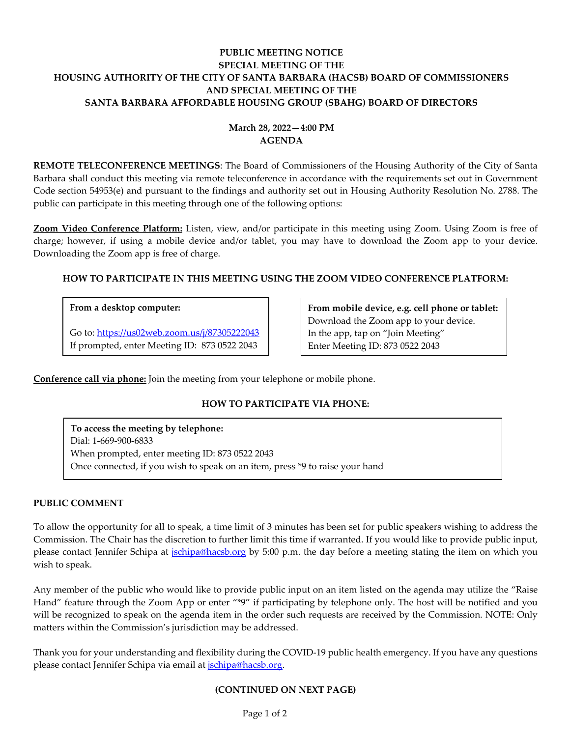## **PUBLIC MEETING NOTICE SPECIAL MEETING OF THE HOUSING AUTHORITY OF THE CITY OF SANTA BARBARA (HACSB) BOARD OF COMMISSIONERS AND SPECIAL MEETING OF THE SANTA BARBARA AFFORDABLE HOUSING GROUP (SBAHG) BOARD OF DIRECTORS**

# **March 28, 2022—4:00 PM AGENDA**

**REMOTE TELECONFERENCE MEETINGS**: The Board of Commissioners of the Housing Authority of the City of Santa Barbara shall conduct this meeting via remote teleconference in accordance with the requirements set out in Government Code section 54953(e) and pursuant to the findings and authority set out in Housing Authority Resolution No. 2788. The public can participate in this meeting through one of the following options:

**Zoom Video Conference Platform:** Listen, view, and/or participate in this meeting using Zoom. Using Zoom is free of charge; however, if using a mobile device and/or tablet, you may have to download the Zoom app to your device. Downloading the Zoom app is free of charge.

## **HOW TO PARTICIPATE IN THIS MEETING USING THE ZOOM VIDEO CONFERENCE PLATFORM:**

#### **From a desktop computer:**

Go to:<https://us02web.zoom.us/j/87305222043> If prompted, enter Meeting ID: 873 0522 2043

**From mobile device, e.g. cell phone or tablet:** Download the Zoom app to your device. In the app, tap on "Join Meeting" Enter Meeting ID: 873 0522 2043

**Conference call via phone:** Join the meeting from your telephone or mobile phone.

## **HOW TO PARTICIPATE VIA PHONE:**

**To access the meeting by telephone:** Dial: 1-669-900-6833 When prompted, enter meeting ID: 873 0522 2043 Once connected, if you wish to speak on an item, press \*9 to raise your hand

#### **PUBLIC COMMENT**

To allow the opportunity for all to speak, a time limit of 3 minutes has been set for public speakers wishing to address the Commission. The Chair has the discretion to further limit this time if warranted. If you would like to provide public input, please contact Jennifer Schipa at *ischipa@hacsb.org* by 5:00 p.m. the day before a meeting stating the item on which you wish to speak.

Any member of the public who would like to provide public input on an item listed on the agenda may utilize the "Raise Hand" feature through the Zoom App or enter "\*9" if participating by telephone only. The host will be notified and you will be recognized to speak on the agenda item in the order such requests are received by the Commission. NOTE: Only matters within the Commission's jurisdiction may be addressed.

Thank you for your understanding and flexibility during the COVID-19 public health emergency. If you have any questions please contact Jennifer Schipa via email at [jschipa@hacsb.org.](mailto:jschipa@hacsb.org)

#### **(CONTINUED ON NEXT PAGE)**